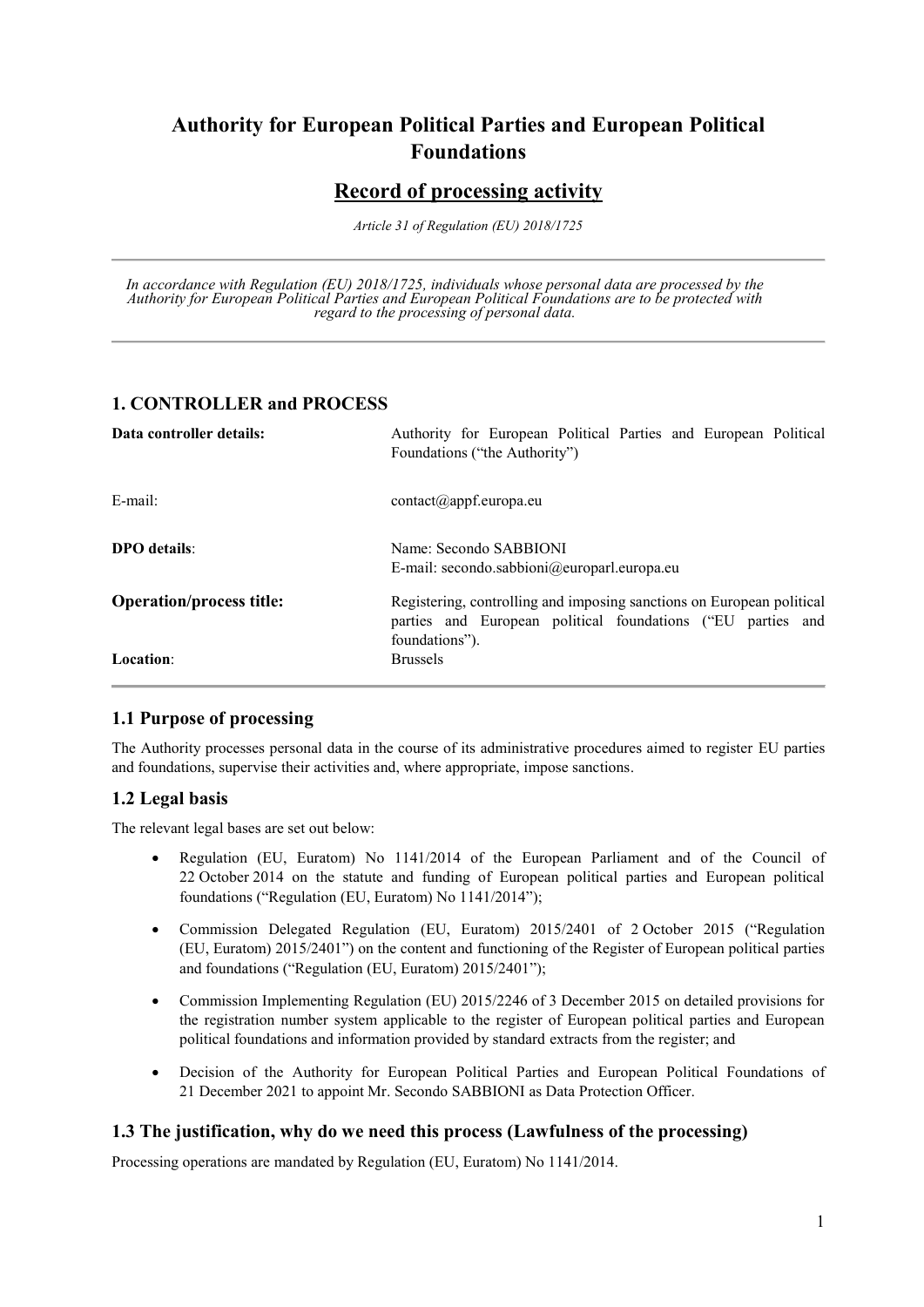# **Authority for European Political Parties and European Political Foundations**

# **Record of processing activity**

*Article 31 of Regulation (EU) 2018/1725*

*In accordance with Regulation (EU) 2018/1725, individuals whose personal data are processed by the Authority for European Political Parties and European Political Foundations are to be protected with regard to the processing of personal data.*

### **1. CONTROLLER and PROCESS**

| Data controller details:        | Authority for European Political Parties and European Political<br>Foundations ("the Authority")                                                       |
|---------------------------------|--------------------------------------------------------------------------------------------------------------------------------------------------------|
| $E$ -mail:                      | $contact(\theta)$ appf.europa.eu                                                                                                                       |
| <b>DPO</b> details:             | Name: Secondo SABBIONI<br>E-mail: secondo.sabbioni@europarl.europa.eu                                                                                  |
| <b>Operation/process title:</b> | Registering, controlling and imposing sanctions on European political<br>parties and European political foundations ("EU parties and<br>foundations"). |
| <b>Location:</b>                | <b>Brussels</b>                                                                                                                                        |

#### **1.1 Purpose of processing**

The Authority processes personal data in the course of its administrative procedures aimed to register EU parties and foundations, supervise their activities and, where appropriate, impose sanctions.

# **1.2 Legal basis**

The relevant legal bases are set out below:

- Regulation (EU, Euratom) No 1141/2014 of the European Parliament and of the Council of 22 October 2014 on the statute and funding of European political parties and European political foundations ("Regulation (EU, Euratom) No 1141/2014");
- Commission Delegated Regulation (EU, Euratom) 2015/2401 of 2 October 2015 ("Regulation (EU, Euratom) 2015/2401") on the content and functioning of the Register of European political parties and foundations ("Regulation (EU, Euratom) 2015/2401");
- Commission Implementing Regulation (EU) 2015/2246 of 3 December 2015 on detailed provisions for the registration number system applicable to the register of European political parties and European political foundations and information provided by standard extracts from the register; and
- Decision of the Authority for European Political Parties and European Political Foundations of 21 December 2021 to appoint Mr. Secondo SABBIONI as Data Protection Officer.

#### **1.3 The justification, why do we need this process (Lawfulness of the processing)**

Processing operations are mandated by Regulation (EU, Euratom) No 1141/2014.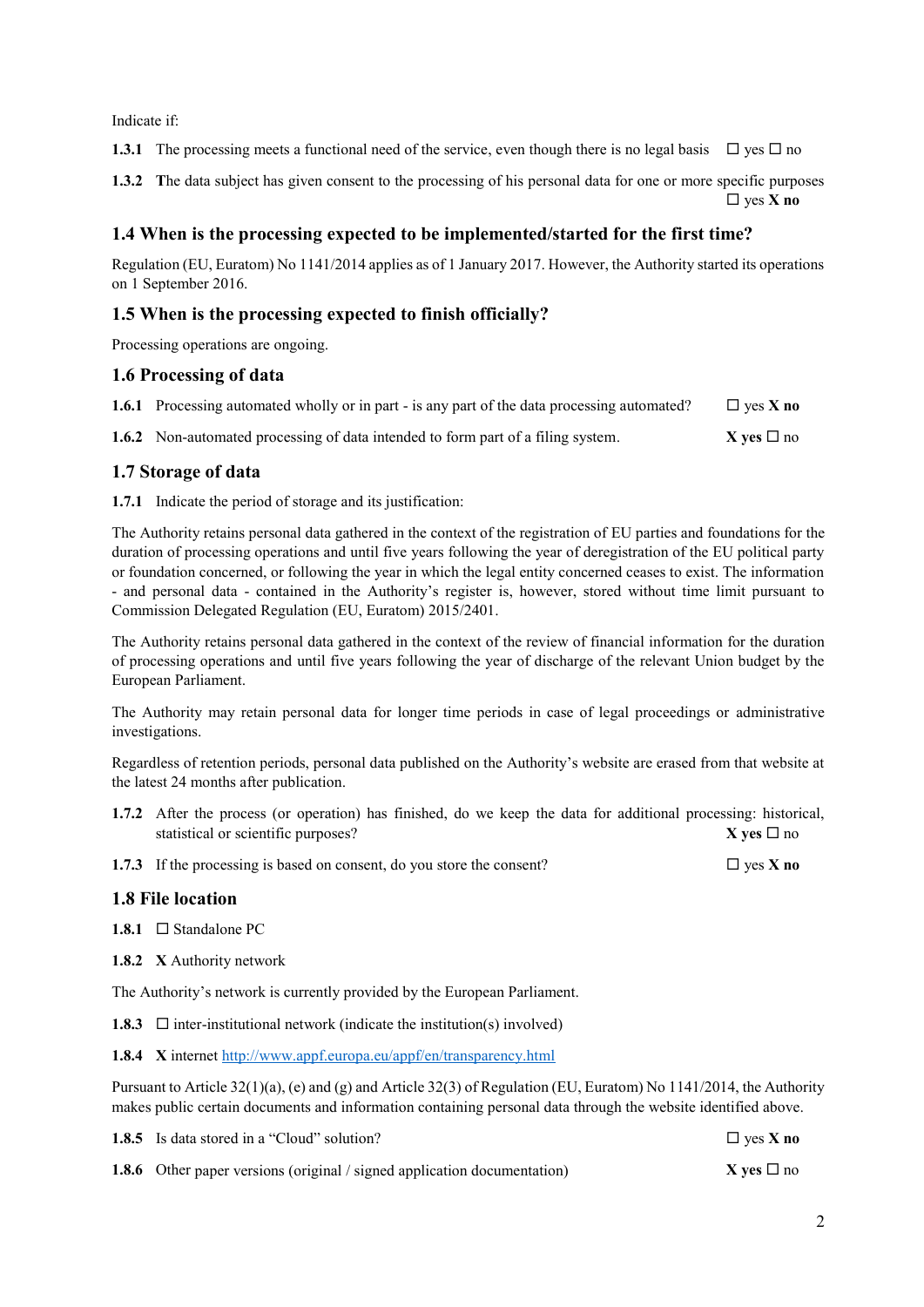Indicate if:

**1.3.1** The processing meets a functional need of the service, even though there is no legal basis  $\Box$  yes  $\Box$  no

**1.3.2 T**he data subject has given consent to the processing of his personal data for one or more specific purposes  $\Box$  ves **X** no

#### **1.4 When is the processing expected to be implemented/started for the first time?**

Regulation (EU, Euratom) No 1141/2014 applies as of 1 January 2017. However, the Authority started its operations on 1 September 2016.

#### **1.5 When is the processing expected to finish officially?**

Processing operations are ongoing.

#### **1.6 Processing of data**

| 1.6.1 Processing automated wholly or in part - is any part of the data processing automated? | $\Box$ yes X no        |
|----------------------------------------------------------------------------------------------|------------------------|
| <b>1.6.2</b> Non-automated processing of data intended to form part of a filing system.      | <b>X</b> ves $\Box$ no |

#### **1.7 Storage of data**

**1.7.1** Indicate the period of storage and its justification:

The Authority retains personal data gathered in the context of the registration of EU parties and foundations for the duration of processing operations and until five years following the year of deregistration of the EU political party or foundation concerned, or following the year in which the legal entity concerned ceases to exist. The information - and personal data - contained in the Authority's register is, however, stored without time limit pursuant to Commission Delegated Regulation (EU, Euratom) 2015/2401.

The Authority retains personal data gathered in the context of the review of financial information for the duration of processing operations and until five years following the year of discharge of the relevant Union budget by the European Parliament.

The Authority may retain personal data for longer time periods in case of legal proceedings or administrative investigations.

Regardless of retention periods, personal data published on the Authority's website are erased from that website at the latest 24 months after publication.

- **1.7.2** After the process (or operation) has finished, do we keep the data for additional processing: historical, statistical or scientific purposes?  $X$  ves  $\square$  no
- **1.7.3** If the processing is based on consent, do you store the consent?  $\Box$  yes **X** no

#### **1.8 File location**

**1.8.1** Standalone PC

**1.8.2 X** Authority network

The Authority's network is currently provided by the European Parliament.

**1.8.3**  $\Box$  inter-institutional network (indicate the institution(s) involved)

**1.8.4 X** internet <http://www.appf.europa.eu/appf/en/transparency.html>

Pursuant to Article 32(1)(a), (e) and (g) and Article 32(3) of Regulation (EU, Euratom) No 1141/2014, the Authority makes public certain documents and information containing personal data through the website identified above.

| <b>1.8.5</b> Is data stored in a "Cloud" solution?                              | $\Box$ yes <b>X</b> no |
|---------------------------------------------------------------------------------|------------------------|
| <b>1.8.6</b> Other paper versions (original / signed application documentation) | $X$ ves $\Box$ no      |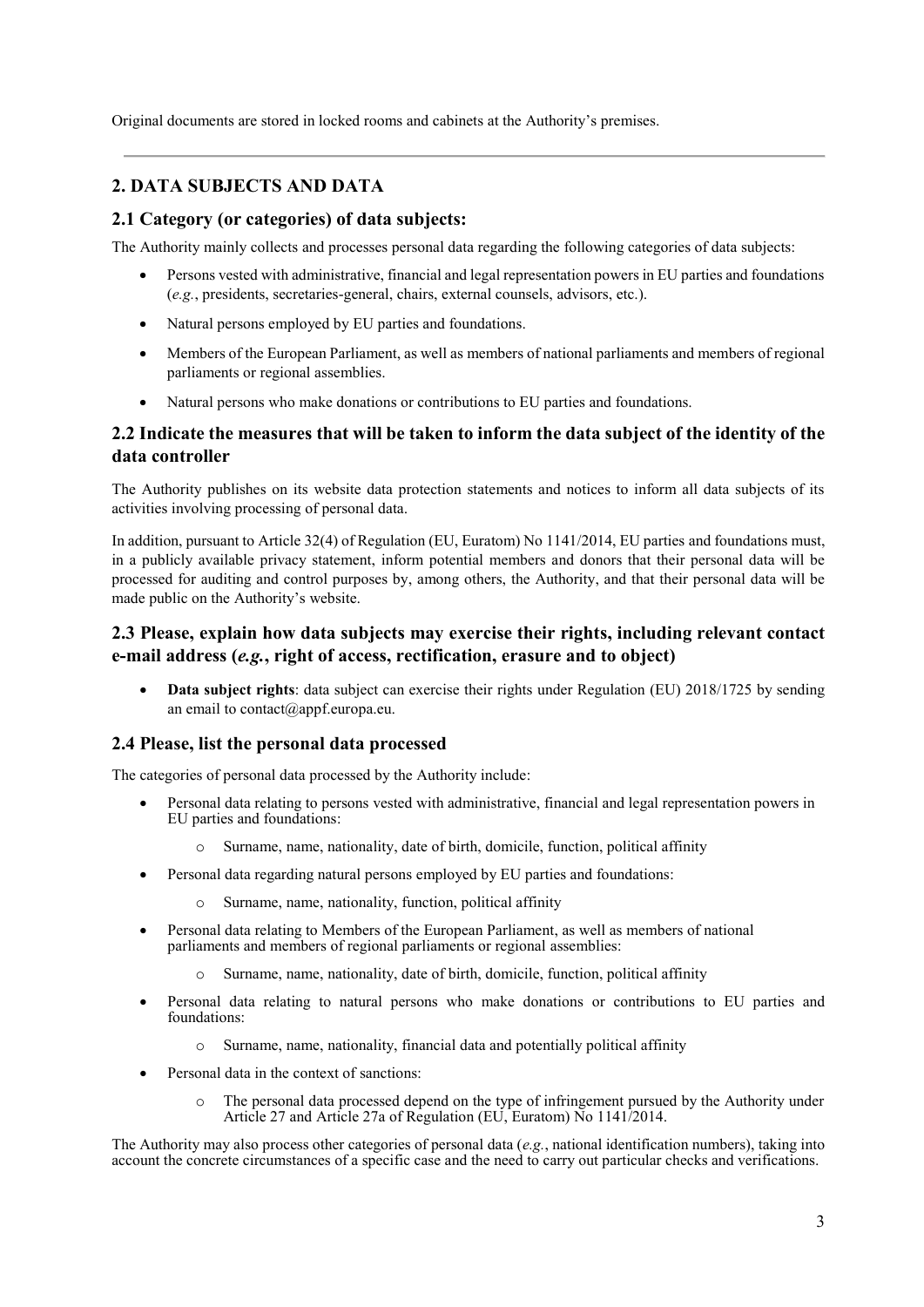Original documents are stored in locked rooms and cabinets at the Authority's premises.

# **2. DATA SUBJECTS AND DATA**

### **2.1 Category (or categories) of data subjects:**

The Authority mainly collects and processes personal data regarding the following categories of data subjects:

- Persons vested with administrative, financial and legal representation powers in EU parties and foundations (*e.g.*, presidents, secretaries-general, chairs, external counsels, advisors, etc.).
- Natural persons employed by EU parties and foundations.
- Members of the European Parliament, as well as members of national parliaments and members of regional parliaments or regional assemblies.
- Natural persons who make donations or contributions to EU parties and foundations.

### **2.2 Indicate the measures that will be taken to inform the data subject of the identity of the data controller**

The Authority publishes on its website data protection statements and notices to inform all data subjects of its activities involving processing of personal data.

In addition, pursuant to Article 32(4) of Regulation (EU, Euratom) No 1141/2014, EU parties and foundations must, in a publicly available privacy statement, inform potential members and donors that their personal data will be processed for auditing and control purposes by, among others, the Authority, and that their personal data will be made public on the Authority's website.

### **2.3 Please, explain how data subjects may exercise their rights, including relevant contact e-mail address (***e.g.***, right of access, rectification, erasure and to object)**

• **Data subject rights**: data subject can exercise their rights under Regulation (EU) 2018/1725 by sending an email to contact@appf.europa.eu.

#### **2.4 Please, list the personal data processed**

The categories of personal data processed by the Authority include:

- Personal data relating to persons vested with administrative, financial and legal representation powers in EU parties and foundations:
	- o Surname, name, nationality, date of birth, domicile, function, political affinity
- Personal data regarding natural persons employed by EU parties and foundations:
	- Surname, name, nationality, function, political affinity
- Personal data relating to Members of the European Parliament, as well as members of national parliaments and members of regional parliaments or regional assemblies:
	- Surname, name, nationality, date of birth, domicile, function, political affinity
- Personal data relating to natural persons who make donations or contributions to EU parties and foundations:
	- Surname, name, nationality, financial data and potentially political affinity
- Personal data in the context of sanctions:
	- o The personal data processed depend on the type of infringement pursued by the Authority under Article 27 and Article 27a of Regulation (EU, Euratom) No 1141/2014.

The Authority may also process other categories of personal data (*e.g.*, national identification numbers), taking into account the concrete circumstances of a specific case and the need to carry out particular checks and verifications.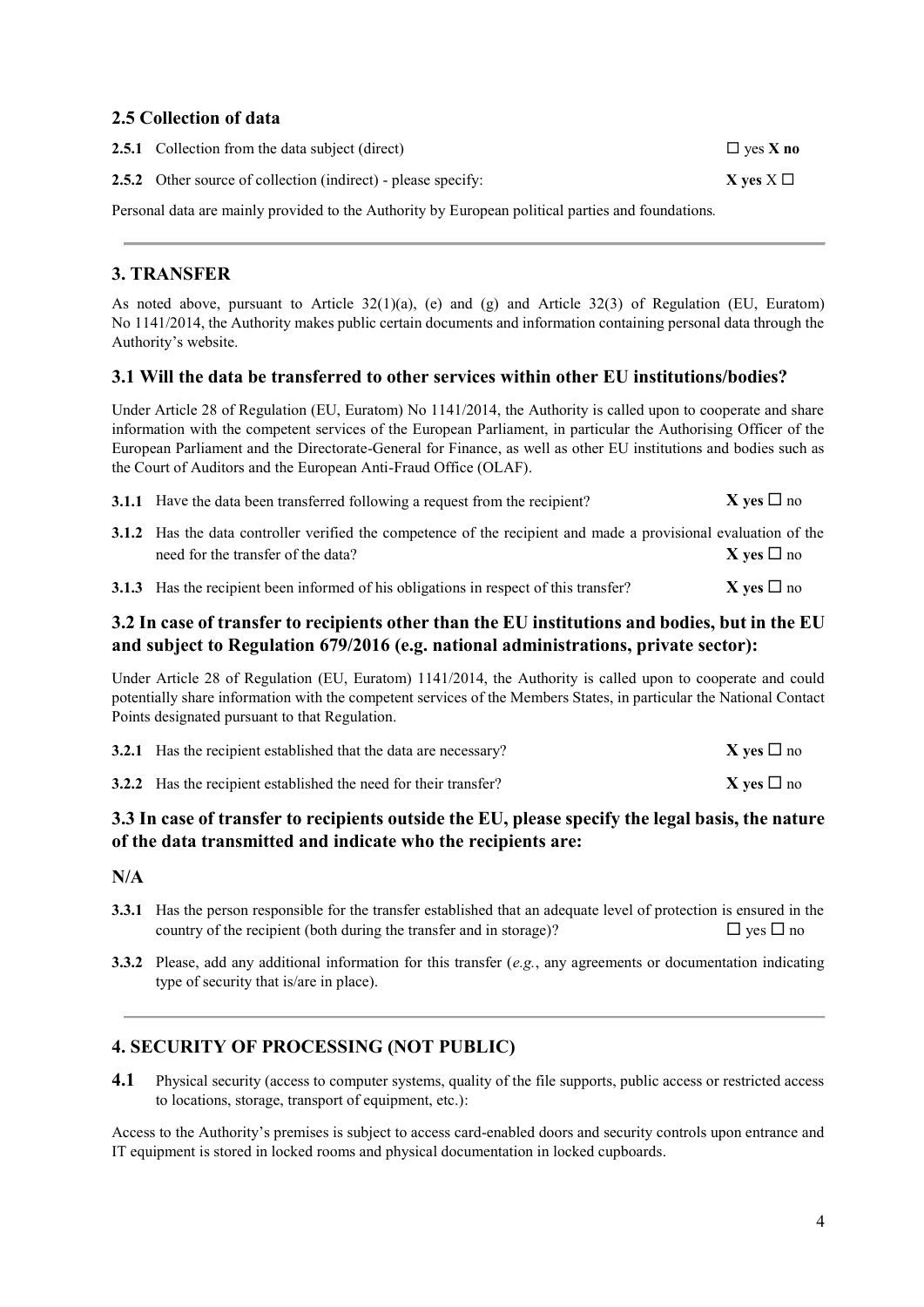### **2.5 Collection of data**

| <b>2.5.1</b> Collection from the data subject (direct)                                            | $\Box$ yes X no  |
|---------------------------------------------------------------------------------------------------|------------------|
| <b>2.5.2</b> Other source of collection (indirect) - please specify:                              | $X$ ves $X \Box$ |
| Personal data are mainly provided to the Authority by European political parties and foundations. |                  |

# **3. TRANSFER**

As noted above, pursuant to Article 32(1)(a), (e) and (g) and Article 32(3) of Regulation (EU, Euratom) No 1141/2014, the Authority makes public certain documents and information containing personal data through the Authority's website.

#### **3.1 Will the data be transferred to other services within other EU institutions/bodies?**

Under Article 28 of Regulation (EU, Euratom) No 1141/2014, the Authority is called upon to cooperate and share information with the competent services of the European Parliament, in particular the Authorising Officer of the European Parliament and the Directorate-General for Finance, as well as other EU institutions and bodies such as the Court of Auditors and the European Anti-Fraud Office (OLAF).

| <b>3.1.1</b> Have the data been transferred following a request from the recipient?                             | $X$ yes $\square$ no |  |
|-----------------------------------------------------------------------------------------------------------------|----------------------|--|
| 3.1.2 Has the data controller verified the competence of the recipient and made a provisional evaluation of the |                      |  |

| 3.1.2 Has the data controller verified the competence of the recipient and made a provisional evaluation of the |  |                      |
|-----------------------------------------------------------------------------------------------------------------|--|----------------------|
| need for the transfer of the data?                                                                              |  | $X$ yes $\square$ no |

| <b>3.1.3</b> Has the recipient been informed of his obligations in respect of this transfer? | <b>X</b> yes $\Box$ no |
|----------------------------------------------------------------------------------------------|------------------------|
|----------------------------------------------------------------------------------------------|------------------------|

## **3.2 In case of transfer to recipients other than the EU institutions and bodies, but in the EU and subject to Regulation 679/2016 (e.g. national administrations, private sector):**

Under Article 28 of Regulation (EU, Euratom) 1141/2014, the Authority is called upon to cooperate and could potentially share information with the competent services of the Members States, in particular the National Contact Points designated pursuant to that Regulation.

| <b>3.2.1</b> Has the recipient established that the data are necessary? | $X$ yes $\square$ no |
|-------------------------------------------------------------------------|----------------------|
| 3.2.2 Has the recipient established the need for their transfer?        | $X$ yes $\square$ no |

# **3.3 In case of transfer to recipients outside the EU, please specify the legal basis, the nature of the data transmitted and indicate who the recipients are:**

# **N/A**

- **3.3.1** Has the person responsible for the transfer established that an adequate level of protection is ensured in the country of the recipient (both during the transfer and in storage)?  $\square$  yes  $\square$  no
- **3.3.2** Please, add any additional information for this transfer (*e.g.*, any agreements or documentation indicating type of security that is/are in place).

# **4. SECURITY OF PROCESSING (NOT PUBLIC)**

**4.1** Physical security (access to computer systems, quality of the file supports, public access or restricted access to locations, storage, transport of equipment, etc.):

Access to the Authority's premises is subject to access card-enabled doors and security controls upon entrance and IT equipment is stored in locked rooms and physical documentation in locked cupboards.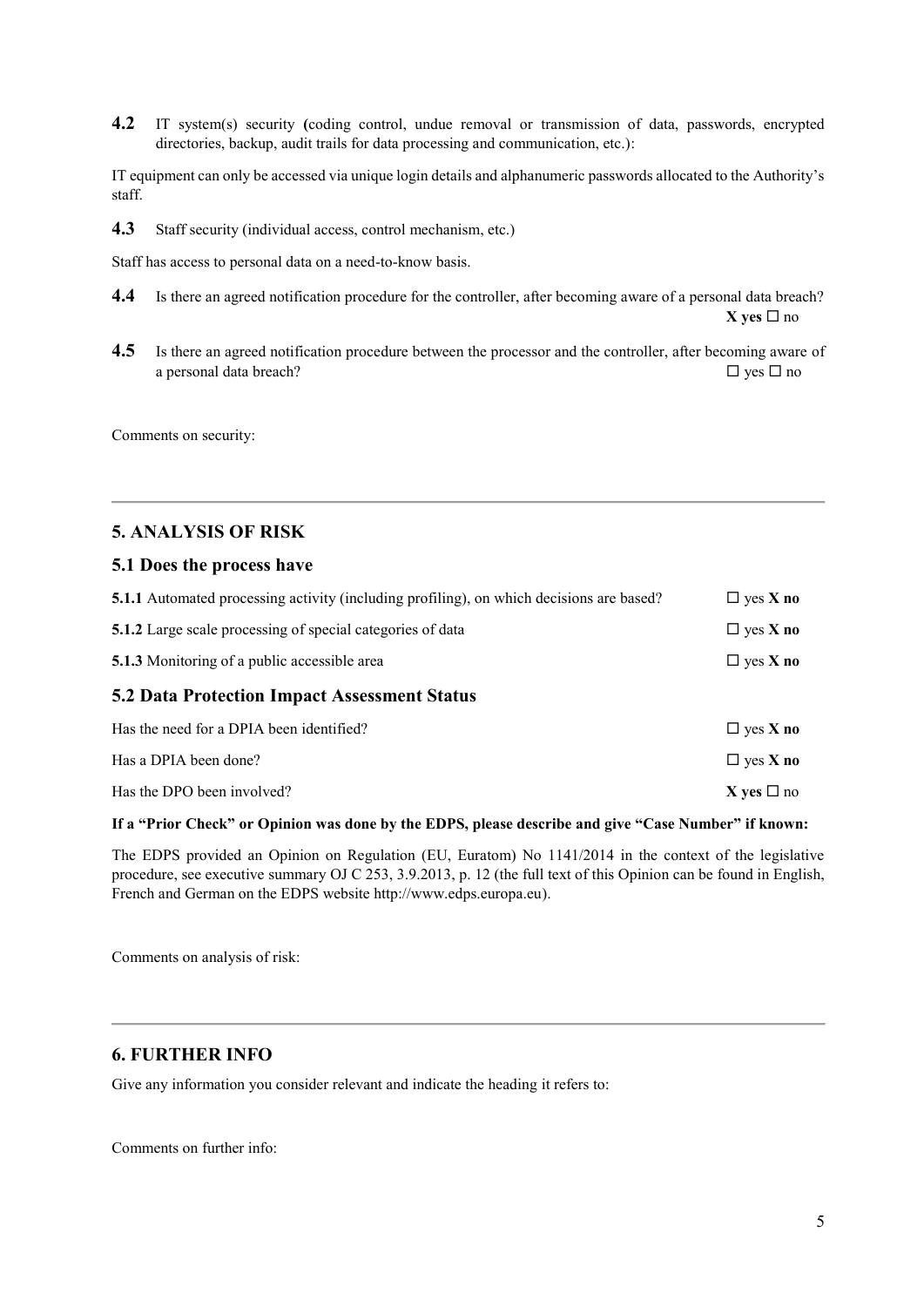**4.2** IT system(s) security **(**coding control, undue removal or transmission of data, passwords, encrypted directories, backup, audit trails for data processing and communication, etc.):

IT equipment can only be accessed via unique login details and alphanumeric passwords allocated to the Authority's staff.

**4.3** Staff security (individual access, control mechanism, etc.)

Staff has access to personal data on a need-to-know basis.

- **4.4** Is there an agreed notification procedure for the controller, after becoming aware of a personal data breach? **X** yes  $\Box$  no
- **4.5** Is there an agreed notification procedure between the processor and the controller, after becoming aware of a personal data breach?  $\Box$  yes  $\Box$  no

Comments on security:

#### **5. ANALYSIS OF RISK**

#### **5.1 Does the process have**

| <b>5.1.1</b> Automated processing activity (including profiling), on which decisions are based? | $\Box$ yes <b>X</b> no |  |  |  |
|-------------------------------------------------------------------------------------------------|------------------------|--|--|--|
| <b>5.1.2</b> Large scale processing of special categories of data                               | $\Box$ yes <b>X</b> no |  |  |  |
| <b>5.1.3</b> Monitoring of a public accessible area                                             | $\Box$ yes <b>X</b> no |  |  |  |
| <b>5.2 Data Protection Impact Assessment Status</b>                                             |                        |  |  |  |
| Has the need for a DPIA been identified?                                                        | $\Box$ yes <b>X</b> no |  |  |  |
| Has a DPIA been done?                                                                           | $\Box$ yes <b>X</b> no |  |  |  |
| Has the DPO been involved?                                                                      | X yes $\square$ no     |  |  |  |
|                                                                                                 |                        |  |  |  |

#### **If a "Prior Check" or Opinion was done by the EDPS, please describe and give "Case Number" if known:**

The EDPS provided an Opinion on Regulation (EU, Euratom) No 1141/2014 in the context of the legislative procedure, see executive summary OJ C 253, 3.9.2013, p. 12 (the full text of this Opinion can be found in English, French and German on the EDPS website http://www.edps.europa.eu).

Comments on analysis of risk:

#### **6. FURTHER INFO**

Give any information you consider relevant and indicate the heading it refers to:

Comments on further info: